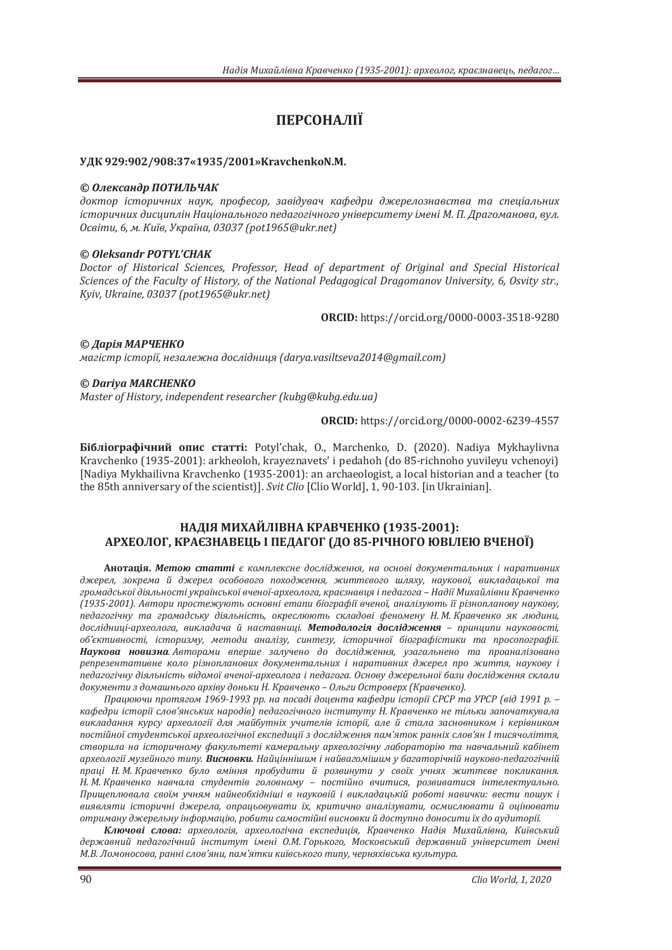# ПЕРСОНАЛІЇ

#### УДК 929:902/908:37«1935/2001» KravchenkoN.M.

#### © Олександр ПОТИЛЬЧАК

доктор *історичних наук, професор, завідувач кафедри джерелознавства та спеціальних* iсторичних дисциплiн Нацiонального педагогiчного унiверситету iменi М. П. Драгоманова, вул.  $O$ світи, 6, м. Київ, Україна, 03037 (pot1965@ukr.net)

# *© Oleksandr POTYL'CHAK*

Doctor of Historical Sciences, Professor, Head of department of Original and Special Historical *Sciences of the Faculty of History, of the National Pedagogical Dragomanov University, 6, Osvity str., Kviv, Ukraine, 03037 (pot1965@ukr.net)* 

**ORCID**: https://orcid.org/0000-0003-3518-9280

© *Дарія* МАРЧЕНКО магістр історії, незалежна дослідниця (darya.vasiltseva2014@gmail.com)

# *© Dariya MARCHENKO*

*Master of History, independent researcher (kubg@kubg.edu.ua)* 

**ORCIDǣ** https://orcid.org/0000-0002-6239-4557

**Бібліографічний опис статті:** Potyl'chak, O., Marchenko, D. (2020). Nadiya Mykhaylivna Kravchenko (1935-2001): arkheoloh, krayeznavets' i pedahoh (do 85-richnoho yuvileyu vchenoyi) [Nadiya Mykhailivna Kravchenko (1935-2001): an archaeologist, a local historian and a teacher (to the 85th anniversary of the scientist)]. Svit Clio [Clio World], 1, 90-103. [in Ukrainian].

# **НАЛІЯ МИХАЙЛІВНА КРАВЧЕНКО (1935-2001):** АРХЕОЛОГ, КРАЄЗНАВЕЦЬ І ПЕДАГОГ (ДО 85-РІЧНОГО ЮВІЛЕЮ ВЧЕНОЇ)

Анотація. Метою статті є комплексне дослідження, на основі документальних і наративних джерел, зокрема й джерел особового походження, життєвого шляху, наукової, викладацької та громадської діяльності української вченої-археолога, краєзнавця і педагога – Надії Михайлівни Кравченко  $(1935-2001)$ . Автори простежують основні етапи біографії вченої, аналізують її різнопланову наукову, тедагогічну та громадську діяльність, окреслюють складові феномену Н.М. Кравченко як людини, дослідниці-археолога, викладача й наставниці. Методологія дослідження - принципи науковості, *oб'єктивності, історизму, методи аналізу, синтезу, історичної біографістики та просопографії.* Наукова новизна. Авторами вперше залучено до дослідження, узагальнено та проаналізовано репрезентативне коло різнопланових документальних *і* наративних джерел про життя, наукову і ледагогічну діяльність відомої вченої-археолога і педагога. Основу джерельної бази дослідження склали документи з домашнього архіву доньки Н. Кравченко – Ольги Островерх (Кравченко),

*ʞ˓˃˙ˡˡ˚ˋ˒˓ˑ˕ˢˆˑˏͷͿͼͿ-ͷͿͿ˓˓Ǥː˃˒ˑ˔˃ˇ˪ˇˑ˙ˈː˕˃ˍ˃˗ˈˇ˓ˋ˪˔˕ˑ˓˪˫ʠʟʠʟ˕˃ʢʟʠʟȋ˅˪ˇͷͿͿͷ˓Ǥ–* кафедри iсторії слов'янських народів) педагогічного інституту Н. Кравченко не тільки започаткувала викладання курсу археології для майбутніх учителів *історії, але й стала засновником і керівником* постійної студентської археологічної експедиції з дослідження пам'яток ранніх слов'ян I тисячоліття, створила на *історичному факультеті камеральну археологічну лабораторію та навчальний кабінет* археології музейного типу. Висновки. Найціннішим і найвагомішим у багаторічній науково-педагогічній праці Н. М. Кравченко було вміння пробудити й розвинути у своїх учнях життєве покликання. Н. М. Кравченко навчала студентів головному - постійно вчитися, розвиватися інтелектуально. Прищеплювала своїм учням найнеобхідніші в науковій і викладацькій роботі навички: вести пошук і виявляти iсторичні джерела, опрацьовувати їх, критично аналізувати, осмислювати й оцінювати отриману джерельну інформацію, робити самостійні висновки й доступно доносити їх до аудиторії.

Ключові слова: археологія, археологічна експедиція, Кравченко Надія Михайлівна, Київський державний педагогічний інститут імені О.М. Горького, Московський державний університет імені М.В. Ломоносова, ранні слов'яни, пам'ятки київського типу, черняхівська культура.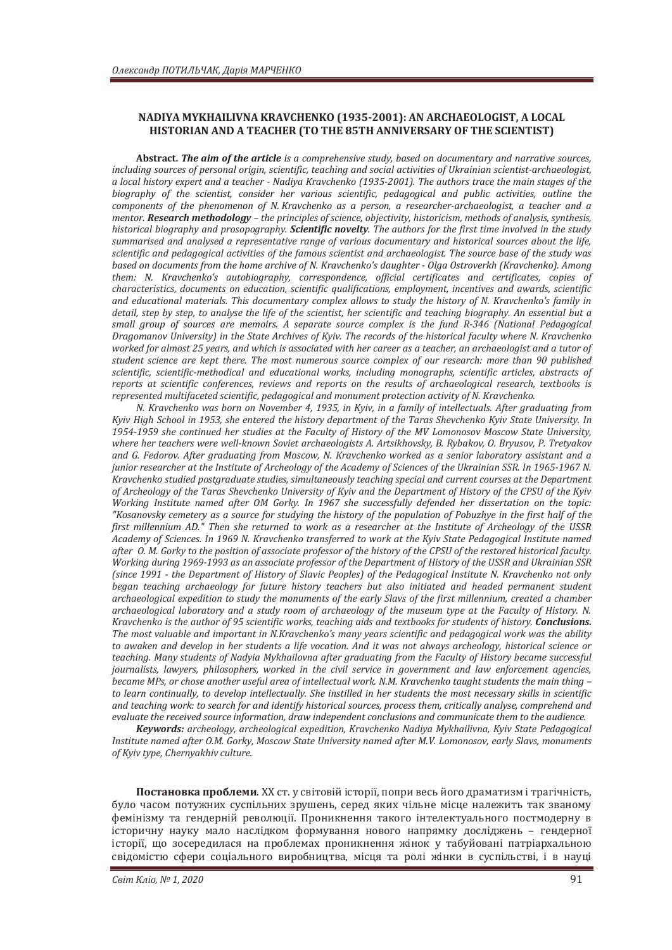### NADIYA MYKHAILIVNA KRAVCHENKO (1935-2001): AN ARCHAEOLOGIST, A LOCAL **HISTORIAN AND A TEACHER (TO THE 85TH ANNIVERSARY OF THE SCIENTIST)**

**Abstract.** *The aim of the articleǡǡ including sources of personal origin, scientific, teaching and social activities of Ukrainian scientist-archaeologist, a local history expert and a teacher - Nadiya Kravchenko (1935-2001). The authors trace the main stages of the* biography of the scientist, consider her various scientific, pedagogical and public activities, outline the *components of the phenomenon of N. Kravchenko as a person, a researcher-archaeologist, a teacher and a mentor.* **Research methodology** – the principles of science, objectivity, historicism, methods of analysis, synthesis, *historical biography and prosopography*. Scientific novelty. The authors for the first time involved in the study summarised and analysed a representative range of various documentary and historical sources about the life, *scientific and pedagogical activities of the famous scientist and archaeologist. The source base of the study was* based on documents from the home archive of N. Kravchenko's daughter - Olga Ostroverkh (Kravchenko). Among them: N. Kravchenko's autobiography, correspondence, official certificates and certificates, copies of characteristics, documents on education, scientific qualifications, employment, incentives and awards, scientific and educational materials. This documentary complex allows to study the history of N. Kravchenko's family in detail, step by step, to analyse the life of the scientist, her scientific and teaching biography. An essential but a *small group of sources are memoirs. A separate source complex is the fund R-346 (National Pedagogical* Dragomanov University) in the State Archives of Kyiv. The records of the historical faculty where N. Kravchenko worked for almost 25 years, and which is associated with her career as a teacher, an archaeologist and a tutor of *student science are kept there. The most numerous source complex of our research: more than 90 published scientific, scientific-methodical and educational works, including monographs, scientific articles, abstracts of* reports at scientific conferences, reviews and reports on the results of archaeological research, textbooks is *represented multifaceted scientific, pedagogical and monument protection activity of N. Kravchenko.* 

*N. Kravchenko was born on November 4, 1935, in Kyiv, in a family of intellectuals. After graduating from* Kyiv High School in 1953, she entered the history department of the Taras Shevchenko Kyiv State University. In *1954-1959 she continued her studies at the Faculty of History of the MV Lomonosov Moscow State University, where her teachers were well-known Soviet archaeologists A. Artsikhovsky, B. Rybakov, O. Bryusov, P. Tretvakov* and G. Fedorov. After graduating from Moscow, N. Kravchenko worked as a senior laboratory assistant and a *junior researcher at the Institute of Archeology of the Academy of Sciences of the Ukrainian SSR. In 1965-1967 N.* Kravchenko studied postgraduate studies, simultaneously teaching special and current courses at the Department of Archeology of the Taras Shevchenko University of Kyiv and the Department of History of the CPSU of the Kyiv *Working Institute named after OM Gorky. In 1967 she successfully defended her dissertation on the topic:* "Kosanovsky cemetery as a source for studying the history of the population of Pobuzhye in the first half of the *first millennium AD. "* Then she returned to work as a researcher at the Institute of Archeology of the USSR *.*<br>Academv of Sciences. In 1969 N. Kravchenko transferred to work at the Kyiv State Pedagogical Institute named after 0. M. Gorky to the position of associate professor of the history of the CPSU of the restored historical faculty. *Working during 1969-1993 as an associate professor of the Department of History of the USSR and Ukrainian SSR (since 1991 - the Department of History of Slavic Peoples) of the Pedagogical Institute N. Kravchenko not only* began teaching archaeology for future history teachers but also initiated and headed permanent student archaeological expedition to study the monuments of the early Slavs of the first millennium, created a chamber archaeological laboratory and a study room of archaeology of the museum type at the Faculty of History. N. *Kravchenko is the author of 95 scientific works, teaching aids and textbooks for students of history. Conclusions.* The most valuable and important in N.Kravchenko's many years scientific and pedagogical work was the ability to awaken and develop in her students a life vocation. And it was not always archeology, historical science or teaching. Many students of Nadyia Mykhailovna after graduating from the Faculty of History became successful *journalists, lawyers, philosophers, worked in the civil service in government and law enforcement agencies, became MPs, or chose another useful area of intellectual work. N.M. Kravchenko taught students the main thing* to learn continually, to develop intellectually. She instilled in her students the most necessary skills in scientific and teaching work: to search for and identify historical sources, process them, critically analyse, comprehend and evaluate the received source information, draw independent conclusions and communicate them to the audience.

*Keywords*: archeology, archeological expedition, Kravchenko Nadiya Mykhailivna, Kyiv State Pedagogical *Institute named after O.M. Gorky, Moscow State University named after M.V. Lomonosov, early Slavs, monuments* of Kyiv type, Chernyakhiv culture.

Постановка проблеми. XX ст. у світовій історії, попри весь його драматизм і трагічність, було часом потужних суспільних зрушень, серед яких чільне місце належить так званому фемінізму та гендерній революції. Проникнення такого інтелектуального постмодерну в історичну науку мало наслідком формування нового напрямку досліджень - гендерної історії, що зосередилася на проблемах проникнення жінок у табуйовані патріархальною свідомістю сфери соціального виробництва, місця та ролі жінки в суспільстві, і в науці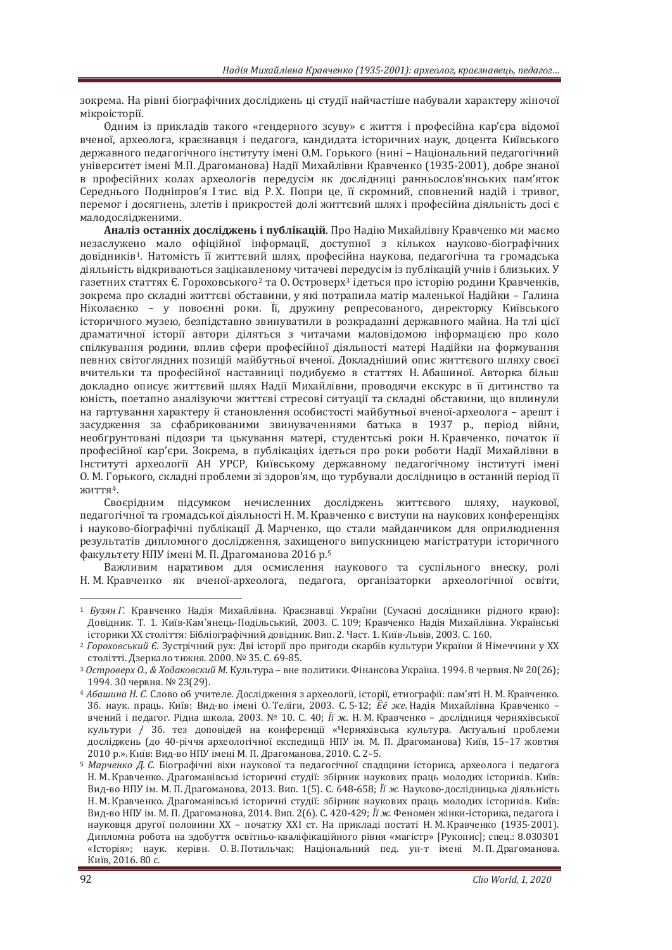зокрема. На рівні біографічних досліджень ці студії найчастіше набували характеру жіночої мікроісторії.

Одним із прикладів такого «гендерного зсуву» є життя і професійна кар'єра відомої вченої, археолога, краєзнавця і педагога, кандидата історичних наук, доцента Київського державного педагогічного інституту імені О.М. Горького (нині – Національний педагогічний університет імені М.П. Драгоманова) Надії Михайлівни Кравченко (1935-2001), добре знаної ь професійних колах археологів передусім як дослідниці ранньослов'янських пам'яток Середнього Подніпров'я Ітис. від Р.Х. Попри це, її скромний, сповнений надій і тривог, перемог і досягнень, злетів і прикростей долі життєвий шлях і професійна діяльність досі є малодослідженими.

Аналіз останніх досліджень і публікацій. Про Надію Михайлівну Кравченко ми маємо незаслужено мало офіційної інформації, доступної з кількох науково-біографічних довілників<sup>1</sup>. Натомість її життєвий шлях, професійна наукова, пелагогічна та громалська діяльність відкриваються зацікавленому читачеві передусім із публікацій учнів і близьких. У газетних статтях Є. Гороховського<sup>2</sup> та О. Островерх<sup>3</sup> ідеться про історію родини Кравченків, зокрема про складні життєві обставини, у які потрапила матір маленької Надійки - Галина Ніколаєнко - у повоєнні роки. Її, дружину репресованого, директорку Київського історичного музею, безпідставно звинуватили в розкраданні державного майна. На тлі цієї драматичної історії автори діляться з читачами маловідомою інформацією про коло спілкування родини, вплив сфери професійної діяльності матері Надійки на формування певних світоглядних позицій майбутньої вченої. Докладніший опис життєвого шляху своєї вчительки та професійної наставниці подибуємо в статтях Н. Абашиної. Авторка більш докладно описує життєвий шлях Надії Михайлівни, проводячи екскурс в її дитинство та киність, поетапно аналізуючи життєві стресові ситуації та складні обставини, що вплинули на гартування характеру й становлення особистості майбутньої вченої-археолога – арешт і засудження за сфабрикованими звинуваченнями батька в 1937 р., період війни, необґрунтовані підозри та цькування матері, студентські роки Н. Кравченко, початок її професійної кар'єри. Зокрема, в публікаціях ідеться про роки роботи Надії Михайлівни в Інституті археології АН УРСР, Київському державному педагогічному інституті імені 0. М. Горького, складні проблеми зі здоров'ям, що турбували дослідницю в останній період її ЖИТТЯ<sup>4</sup>.

Своєрідним підсумком нечисленних досліджень життєвого шляху, наукової, педагогічної та громадської діяльності Н. М. Кравченко є виступи на наукових конференціях і науково-біографічні публікації Д. Марченко, що стали майданчиком для оприлюднення результатів дипломного дослідження, захищеного випускницею магістратури історичного факультету НПУ імені М. П. Драгоманова 2016 р.<sup>5</sup>

Важливим наративом для осмислення наукового та суспільного внеску, ролі Н. М. Кравченко як вченої-археолога, педагога, організаторки археологічної освіти,

<sup>&</sup>lt;sup>1</sup> *Бузян Г.* Кравченко Надія Михайлівна. Краєзнавці України (Сучасні дослідники рідного краю): Довідник. Т. 1. Київ-Кам'янець-Подільський, 2003. С. 109; Кравченко Надія Михайлівна. Українські історики XX століття: Бібліографічний довідник. Вип. 2. Част. 1. Київ-Львів, 2003. С. 160.

<sup>&</sup>lt;sup>2</sup> Гороховський Є. Зустрічний рух: Дві історії про пригоди скарбів культури України й Німеччини у XX столітті. Дзеркало тижня. 2000. № 35. С. 69-85.<br><sup>з</sup> Островерх О., & Ходаковский М. Культура – вне политики. Фінансова Україна. 1994. 8 червня. № 20(26);

<sup>1994. 30</sup> червня. № 23(29).

<sup>&</sup>lt;sup>4</sup> Абашина Н. С. Слово об учителе. Дослідження з археології, історії, етнографії: пам'яті Н. М. Кравченко. Зб. наук. праць. Київ: Вид-во імені О. Теліги, 2003. С. 5-12; *Ёё же.* Надія Михайлівна Кравченко – вчений і педагог. Рідна школа. 2003. № 10. С. 40; *Її ж.* Н. М. Кравченко - дослідниця черняхівської культури / Зб. тез доповідей на конференції «Черняхівська культура. Актуальні проблеми досліджень (до 40-річчя археологічної експедиції НПУ ім. М. П. Драгоманова) Київ, 15-17 жовтня ° 2010 р.». Київ: Вид-во НПУ імені М. П. Драгоманова, 2010. С. 2–5.<br><sup>5</sup> *Марченко Д. С.* Біографічні віхи наукової та педагогічної спадщини історика, археолога і педагога

Н. М. Кравченко. Драгоманівські історичні студії: збірник наукових праць молодих істориків. Київ: Вид-во НПУ ім. М. П. Драгоманова, 2013. Вип. 1(5). С. 648-658; *Її ж.* Науково-дослідницька діяльність Н. М. Кравченко. Драгоманівські історичні студії: збірник наукових праць молодих істориків. Київ: Вид-во НПУ ім. М. П. Драгоманова, 2014. Вип. 2(6). С. 420-429; *Її ж.* Феномен жінки-історика, педагога і науковця другої половини XX – початку XXI ст. На прикладі постаті Н. М. Кравченко (1935-2001). Дипломна робота на здобуття освітньо-кваліфікаційного рівня «магістр» [Рукопис]; спец.: 8.030301 «Історія»; наук. керівн. О.В.Потильчак; Національний пед. ун-т імені М.П.Драгоманова. Київ, 2016. 80 с.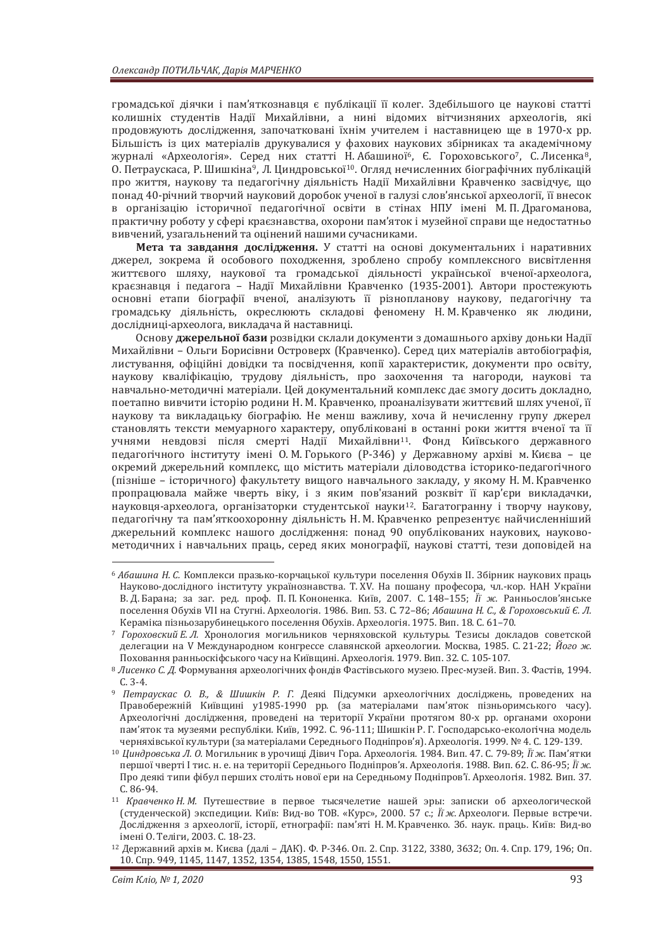громадської діячки і пам'яткознавця є публікації її колег. Здебільшого це наукові статті колишніх студентів Надії Михайлівни, а нині відомих вітчизняних археологів, які продовжують дослідження, започатковані їхнім учителем і наставницею ще в 1970-х рр. Більшість із цих матеріалів друкувалися у фахових наукових збірниках та академічному журналі «Археологія». Серед них статті Н. Абашиної<sup>6</sup>, Є. Гороховського<sup>7</sup>, С. Лисенка<sup>8</sup>, О. Петраускаса, Р. Шишкіна<sup>9</sup>, Л. Циндровської<sup>10</sup>. Огляд нечисленних біографічних публікацій про життя, наукову та педагогічну діяльність Надії Михайлівни Кравченко засвідчує, що понад 40-річний творчий науковий доробок ученої в галузі слов'янської археології, її внесок в організацію історичної педагогічної освіти в стінах НПУ імені М. П. Драгоманова, практичну роботу у сфері краєзнавства, охорони пам'яток і музейної справи ще недостатньо вивчений, узагальнений та оцінений нашими сучасниками.

**Мета та завдання дослідження.** У статті на основі документальних і наративних джерел, зокрема й особового походження, зроблено спробу комплексного висвітлення життєвого шляху, наукової та громадської діяльності української вченої-археолога, краєзнавця і педагога - Надії Михайлівни Кравченко (1935-2001). Автори простежують основні етапи біографії вченої, аналізують її різнопланову наукову, педагогічну та громадську діяльність, окреслюють складові феномену Н.М. Кравченко як людини, дослідниці-археолога, викладача й наставниці.

Основу джерельної бази розвідки склали документи з домашнього архіву доньки Надії Михайлівни – Ольги Борисівни Островерх (Кравченко). Серед цих матеріалів автобіографія, листування, офіційні довідки та посвідчення, копії характеристик, документи про освіту, наукову кваліфікацію, трудову діяльність, про заохочення та нагороди, наукові та навчально-методичні матеріали. Цей документальний комплекс дає змогу досить докладно, поетапно вивчити icторію родини Н. М. Кравченко, проаналізувати життєвий шлях ученої, її наукову та викладацьку біографію. Не менш важливу, хоча й нечисленну групу джерел становлять тексти мемуарного характеру, опубліковані в останні роки життя вченої та її учнями невдовзі після смерті Надії Михайлівни<sup>11</sup>. Фонд Київського державного педагогічного інституту імені О. М. Горького (Р-346) у Державному архіві м. Києва - це окремий джерельний комплекс, що містить матеріали діловодства історико-педагогічного (пізніше – історичного) факультету вищого навчального закладу, у якому Н. М. Кравченко пропрацювала майже чверть віку, і з яким пов'язаний розквіт її кар'єри викладачки, науковця-археолога, організаторки студентської науки<sup>12</sup>. Багатогранну і творчу наукову, педагогічну та пам'яткоохоронну діяльність Н. М. Кравченко репрезентує найчисленніший джерельний комплекс нашого дослідження: понад 90 опублікованих наукових, науковометодичних і навчальних праць, серед яких монографії, наукові статті, тези доповідей на

<sup>&</sup>lt;sup>6</sup> Абашина Н. С. Комплекси празько-корчацької культури поселення Обухів II. Збірник наукових праць Наvково-дослідного інституту українознавства. Т. XV. На пошану професора, чл.-кор. НАН України В. Д. Барана; за заг. ред. проф. П. П. Кононенка. Київ, 2007. С. 148–155; *Її ж.* Ранньослов'янське поселення Обухів VII на Стугні. Археологія. 1986. Вип. 53. С. 72-86; *Абашина Н. С., & Гороховський Є. Л.*<br>Кераміка пізньозарубинецького поселення Обухів. Археологія. 1975. Вип. 18. С. 61-70.

<sup>&</sup>lt;sup>7</sup> Гороховский Е. Л. Хронология могильников черняховской культуры. Тезисы докладов советской делегации на V Международном конгрессе славянской археологии. Москва, 1985. С. 21-22; Його ж.

Поховання ранньоскіфського часу на Київщині. Археологія. 1979. Вип. 32. С. 105-107.<br><sup>8</sup> Лисенко С. Д. Формування археологічних фондів Фастівського музею. Прес-музей. Вип. 3. Фастів, 1994. С. 3-4.<br><sup>9</sup> *Петраускас О. В., & Шишкін Р. Г. Деякі Підсумки археологічних досліджень, проведених на* 

Правобережній Київщині у1985-1990 рр. (за матеріалами пам'яток пізньоримського часу). Археологічні дослідження, проведені на території України протягом 80-х рр. органами охорони пам'яток та музеями республіки. Київ, 1992. С. 96-111; Шишкін Р. Г. Господарсько-екологічна модель черняхівської культури (за матеріалами Середнього Подніпров'я). Археологія. 1999. № 4. С. 129-139.<br><sup>10</sup> Циндровська Л. О. Могильник в урочищі Дівич Гора. Археологія. 1984. Вип. 47. С. 79-89; *Її ж.* Пам'ятки

першої чверті І тис. н. е. на території Середнього Подніпров'я. Археологія. 1988. Вип. 62. С. 86-95; *Її ж.* Про деякі типи фібул перших століть нової ери на Середньому Подніпров'ї. Археологія. 1982. Вип. 37. С. 86-94.<br><sup>11</sup> *Кравченко Н. М.* Путешествие в первое тысячелетие нашей эры: записки об археологической

<sup>(</sup>студенческой) экспедиции. Київ: Вид-во ТОВ. «Курс», 2000. 57 с.; Її ж. Археологи. Первые встречи. Дослідження з археології, історії, етнографії: пам'яті Н. М. Кравченко. Зб. наук. праць. Київ: Вид-во імені О. Теліги, 2003. С. 18-23.<br><sup>12</sup> Державний архів м. Києва (далі – ДАК). Ф. Р-346. Оп. 2. Спр. 3122, 3380, 3632; Оп. 4. Спр. 179, 196; Оп.

<sup>10.</sup> Cπp. 949, 1145, 1147, 1352, 1354, 1385, 1548, 1550, 1551.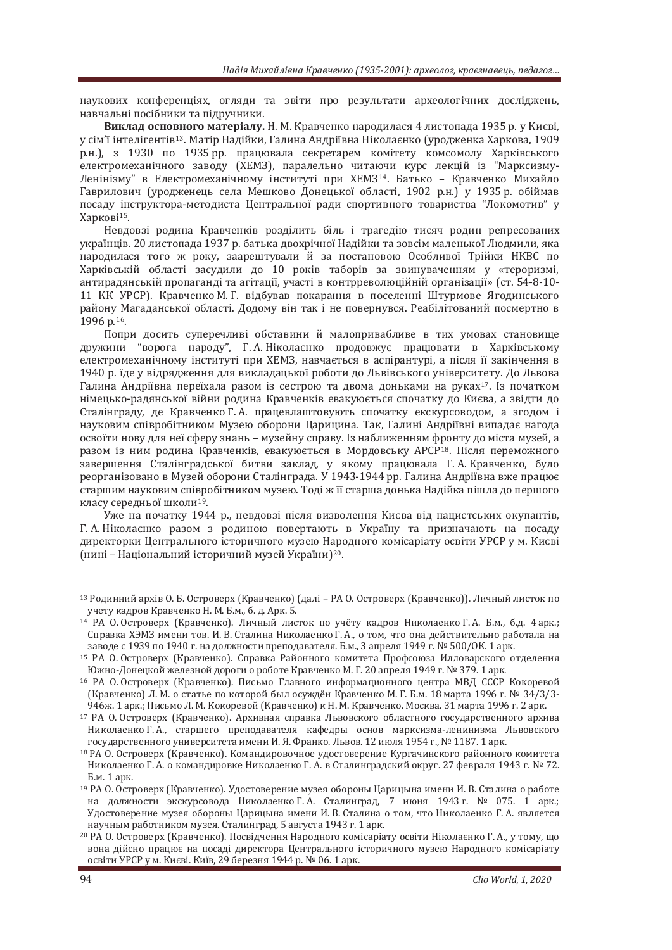наукових конференціях, огляди та звіти про результати археологічних досліджень, навчальні посібники та підручники.

**Виклад основного матеріалу.** Н. М. Кравченко народилася 4 листопада 1935 р. у Києві, у сім'ї інтелігентів<sup>13</sup>. Матір Надійки, Галина Андріївна Ніколаєнко (уродженка Харкова, 1909 р.н.), з 1930 по 1935 рр. працювала секретарем комітету комсомолу Харківського електромеханічного заводу (ХЕМЗ), паралельно читаючи курс лекцій із "Марксизму-Ленінізму" в Електромеханічному інституті при ХЕМЗ<sup>14</sup>. Батько - Кравченко Михайло Гаврилович (уродженець села Мешково Донецької області, 1902 р.н.) у 1935 р. обіймав посаду інструктора-методиста Центральної ради спортивного товариства "Локомотив" у Харкові<sup>15</sup>.

Невдовзі родина Кравченків розділить біль і трагедію тисяч родин репресованих українців. 20 листопада 1937 р. батька двохрічної Надійки та зовсім маленької Людмили, яка народилася того ж року, заарештували й за постановою Особливої Трійки НКВС по Харківській області засудили до 10 років таборів за звинуваченням у «тероризмі, антирадянській пропаганді та агітації, участі в контрреволюційній організації» (ст. 54-8-10-11 КК УРСР). Кравченко М. Г. відбував покарання в поселенні Штурмове Ягодинського району Магаданської області. Додому він так і не повернувся. Реабілітований посмертно в 1996 p.16.

Попри досить суперечливі обставини й малопривабливе в тих умовах становище дружини "ворога народу", Г.А. Ніколаєнко продовжує працювати в Харківському електромеханічному інституті при ХЕМЗ, навчається в аспірантурі, а після її закінчення в 1940 р. їде у відрядження для викладацької роботи до Львівського університету. До Львова Галина Андріївна переїхала разом із сестрою та двома доньками на руках<sup>17</sup>. Із початком німецько-радянської війни родина Кравченків евакуюється спочатку до Києва, а звідти до Сталінгралу, ле Кравченко Г.А. працевлаштовують спочатку екскурсоводом, а згодом і науковим співробітником Музею оборони Царицина. Так, Галині Андріївні випадає нагода освоїти нову для неї сферу знань - музейну справу. Із наближенням фронту до міста музей, а разом із ним родина Кравченків, евакуюється в Мордовську АРСР<sup>18</sup>. Після переможного завершення Сталінградської битви заклад, у якому працювала Г.А. Кравченко, було реорганізовано в Музей оборони Сталінграда. У 1943-1944 рр. Галина Андріївна вже працює старшим науковим співробітником музею. Толі ж її старша донька Надійка пішла до першого класу середньої школи<sup>19</sup>.

Уже на початку 1944 р., невдовзі після визволення Києва від нацистських окупантів, Г. А. Ніколаєнко разом з родиною повертають в Україну та призначають на посаду директорки Центрального історичного музею Народного комісаріату освіти УРСР у м. Києві (нині – Національний історичний музей України)<sup>20</sup>.

<sup>&</sup>lt;sup>13</sup> Родинний архів О. Б. Островерх (Кравченко) (далі - РА О. Островерх (Кравченко)). Личный листок по учету кадров Кравченко Н. М. Б.м., б. д. Арк. 5.

<sup>14</sup> РА О. Островерх (Кравченко). Личный листок по учёту кадров Николаенко Г. А. Б.м., б.д. 4 арк.; Справка ХЭМЗ имени тов. И. В. Сталина Николаенко Г. А., о том, что она действительно работала на заводе с 1939 по 1940 г. на должности преподавателя. Б.м., 3 апреля 1949 г. № 500/ОК. 1 арк.

<sup>&</sup>lt;sup>15</sup> РА О. Островерх (Кравченко). Справка Районного комитета Профсоюза Илловарского отделения Южно-Донецкой железной дороги о роботе Кравченко М. Г. 20 апреля 1949 г. № 379. 1 арк.

<sup>&</sup>lt;sup>16</sup> РА О. Островерх (Кравченко). Письмо Главного информационного центра МВД СССР Кокоревой (Кравченко) Л. М. о статье по которой был осуждён Кравченко М. Г. Б.м. 18 марта 1996 г. № 34/3/3-946ж. 1 арк.; Письмо Л. М. Кокоревой (Кравченко) к Н. М. Кравченко. Москва. 31 марта 1996 г. 2 арк.

<sup>&</sup>lt;sup>17</sup> РА О. Островерх (Кравченко). Архивная справка Львовского областного государственного архива Николаенко Г.А., старшего преподавателя кафедры основ марксизма-ленинизма Львовского государственного университета имени И. Я. Франко. Львов. 12 июля 1954 г., № 1187. 1 арк.

<sup>&</sup>lt;sup>18</sup> РА О. Островерх (Кравченко). Командировочное удостоверение Кургачинского районного комитета Николаенко Г.А. о командировке Николаенко Г.А. в Сталинградский округ. 27 февраля 1943 г. № 72. Бм. 1 арк.

<sup>&</sup>lt;sup>19</sup> РА О. Островерх (Кравченко). Удостоверение музея обороны Царицына имени И. В. Сталина о работе на должности экскурсовода Николаенко Г.А. Сталинград, 7 июня 1943 г. № 075. 1 арк.; Удостоверение музея обороны Царицына имени И. В. Сталина о том, что Николаенко Г. А. является научным работником музея. Сталинград, 5 августа 1943 г. 1 арк.

<sup>&</sup>lt;sup>20</sup> РА О. Островерх (Кравченко). Посвідчення Народного комісаріату освіти Ніколаєнко Г.А., у тому, що вона дійсно працює на посаді директора Центрального історичного музею Народного комісаріату освіти УРСР у м. Києві. Київ, 29 березня 1944 р. № 06. 1 арк.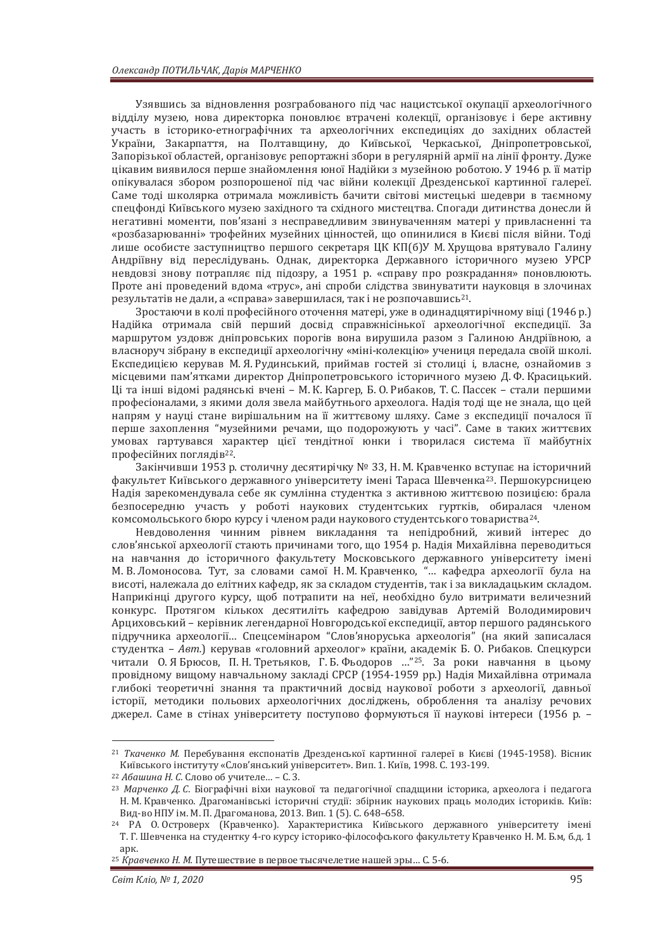Узявшись за відновлення розграбованого під час нацистської окупації археологічного відділу музею, нова директорка поновлює втрачені колекції, організовує і бере активну участь в історико-етнографічних та археологічних експедиціях до західних областей України, Закарпаття, на Полтавщину, до Київської, Черкаської, Дніпропетровської, Запорізької областей, організовує репортажні збори в регулярній армії на лінії фронту. Дуже цікавим виявилося перше знайомлення юної Надійки з музейною роботою. У 1946 р. її матір опікувалася збором розпорошеної під час війни колекції Дрезденської картинної галереї. Саме тоді школярка отримала можливість бачити світові мистецькі шедеври в таємному спецфонді Київського музею західного та східного мистецтва. Спогади дитинства донесли й негативні моменти, пов'язані з несправедливим звинуваченням матері у привласненні та «розбазарюванні» трофейних музейних цінностей, що опинилися в Києві після війни. Тоді лише особисте заступництво першого секретаря ЦК КП(б)У М. Хрущова врятувало Галину Андріївну від переслідувань. Однак, директорка Державного історичного музею УРСР невдовзі знову потрапляє під підозру, а 1951 р. «справу про розкрадання» поновлюють. Проте ані проведений вдома «трус», ані спроби слідства звинуватити науковця в злочинах результатів не дали, а «справа» завершилася, так і не розпочавшись<sup>21</sup>.

Зростаючи в колі професійного оточення матері, уже в одинадцятирічному віці (1946 р.) Надійка отримала свій перший досвід справжнісінької археологічної експедиції. За маршрутом уздовж дніпровських порогів вона вирушила разом з Галиною Андріївною, а власноруч зібрану в експедиції археологічну «міні-колекцію» учениця передала своїй школі. Експедицією керував М. Я. Рудинський, приймав гостей зі столиці і, власне, ознайомив з місцевими пам'ятками директор Дніпропетровського історичного музею Д.Ф. Красицький. Ці та інші відомі радянські вчені – М. К. Каргер, Б. О. Рибаков, Т. С. Пассек – стали першими професіоналами, з якими доля звела майбутнього археолога. Надія тоді ще не знала, що цей напрям у науці стане вирішальним на її життєвому шляху. Саме з експедиції почалося її перше захоплення "музейними речами, що подорожують у часі". Саме в таких життєвих умовах гартувався характер цієї тендітної юнки і творилася система її майбутніх професійних поглядів<sup>22</sup>.

Закінчивши 1953 р. столичну десятирічку № 33, Н. М. Кравченко вступає на історичний факультет Київського лержавного університету імені Тараса Шевченка<sup>23</sup>. Першокурсницею Надія зарекомендувала себе як сумлінна студентка з активною життєвою позицією: брала безпосередню участь у роботі наукових студентських гуртків, обиралася членом комсомольського бюро курсу і членом ради наукового студентського товариства<sup>24</sup>.

Невдоволення чинним рівнем викладання та непідробний, живий інтерес до слов'янської археології стають причинами того, що 1954 р. Надія Михайлівна переводиться на навчання до історичного факультету Московського державного університету імені М. В. Ломоносова. Тут, за словами самої Н. М. Кравченко, "... кафедра археології була на висоті, належала до елітних кафедр, як за складом студентів, так і за викладацьким складом. Наприкінці другого курсу, щоб потрапити на неї, необхідно було витримати величезний конкурс. Протягом кількох десятиліть кафедрою завідував Артемій Володимирович Арциховський - керівник легендарної Новгородської експедиції, автор першого радянського підручника археології... Спецсемінаром "Слов'яноруська археологія" (на який записалася студентка – *Авт.*) керував «головний археолог» країни, академік Б. О. Рибаков. Спецкурси читали О. Я Брюсов, П. Н. Третьяков, Г. Б. Фьодоров ...<sup>"25</sup>. За роки навчання в цьому провідному вишому навчальному заклалі СРСР (1954-1959 рр.) Надія Михайлівна отримала глибокі теоретичні знання та практичний досвід наукової роботи з археології, давньої iсторії, методики польових археологічних досліджень, оброблення та аналізу речових джерел. Саме в стінах університету поступово формуються її наукові інтереси (1956 р. –

<sup>&</sup>lt;sup>21</sup> *Ткаченко М.* Перебування експонатів Дрезденської картинної галереї в Києві (1945-1958). Вісник Київського інституту «Слов'янський університет». Вип. 1. Київ, 1998. С. 193-199.<br><sup>22</sup> Абашина Н. С. Слово об учителе... – С. З.

<sup>&</sup>lt;sup>23</sup> Марченко Д. С. Біографічні віхи наукової та педагогічної спадщини історика, археолога і педагога Н. М. Кравченко. Драгоманівські історичні студії: збірник наукових праць молодих істориків. Київ: Вид-во НПУ ім. М. П. Драгоманова, 2013. Вип. 1 (5). С. 648–658. 24 РА О. Островерх (Кравченко). Характеристика Київського державного університету імені

Т. Г. Шевченка на студентку 4-го курсу історико-філософського факультету Кравченко Н. М. Б.м, б.д. 1 anк

<sup>&</sup>lt;sup>25</sup> Кравченко Н. М. Путешествие в первое тысячелетие нашей эры... С. 5-6.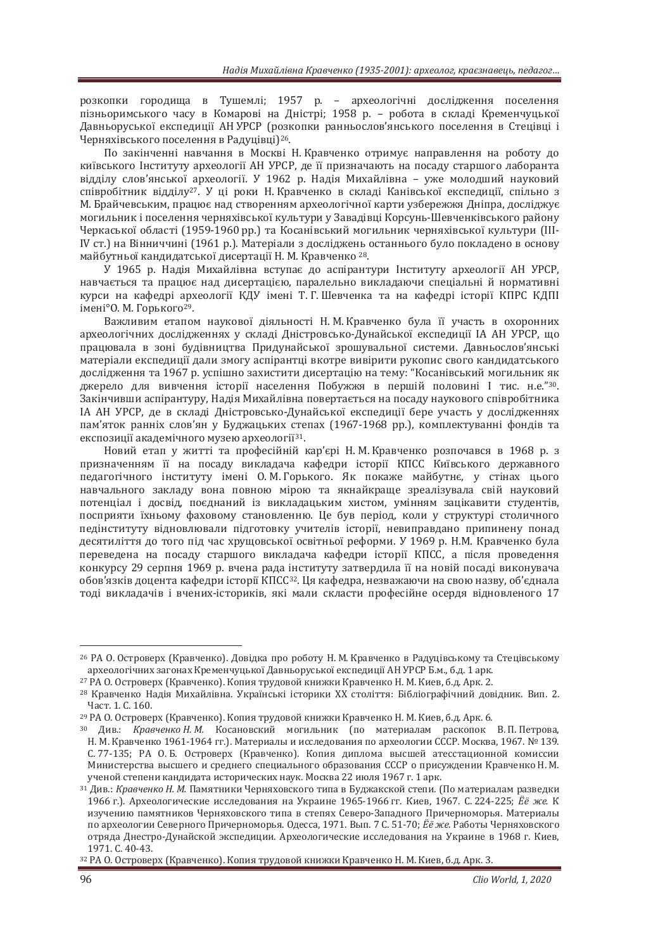розкопки городища в Тушемлі; 1957 р. - археологічні дослідження поселення пізньоримського часу в Комарові на Дністрі; 1958 р. – робота в складі Кременчуцької Давньоруської експедиції АН УРСР (розкопки ранньослов'янського поселення в Стецівці і Черняхівського поселення в Радуцівці)<sup>26</sup>.

По закінченні навчання в Москві Н. Кравченко отримує направлення на роботу до київського Інституту археології АН УРСР, де її призначають на посаду старшого лаборанта відділу слов'янської археології. У 1962 р. Надія Михайлівна - уже молодший науковий співробітник відділу<sup>27</sup>. У ці роки Н. Кравченко в складі Канівської експедиції, спільно з М. Брайчевським, працює над створенням археологічної карти узбережжя Дніпра, досліджує могильник і поселення черняхівської культури у Завадівці Корсунь-Шевченківського району Черкаської області (1959-1960 рр.) та Косанівський могильник черняхівської культури (III-IV ст.) на Вінниччині (1961 р.). Матеріали з досліджень останнього було покладено в основу майбутньої кандилатської дисертації Н. М. Кравченко<sup>28</sup>.

У 1965 р. Надія Михайлівна вступає до аспірантури Інституту археології АН УРСР, навчається та працює нал лисертацією, паралельно виклалаючи спеціальні й нормативні курси на кафедрі археології КДУ імені Т. Г. Шевченка та на кафедрі історії КПРС КДПІ iменi°O. М. Горького<sup>29</sup>.

Важливим етапом наукової діяльності Н. М. Кравченко була її участь в охоронних археологічних дослідженнях у складі Дністровсько-Дунайської експедиції ІА АН УРСР, що працювала в зоні будівництва Придунайської зрошувальної системи. Давньослов'янські матеріали експедиції дали змогу аспірантці вкотре вивірити рукопис свого кандидатського дослідження та 1967 р. успішно захистити дисертацію на тему: "Косанівський могильник як джерело для вивчення історії населення Побужжя в першій половині І тис. н.е."<sup>30</sup>. Закінчивши аспірантуру, Надія Михайлівна повертається на посаду наукового співробітника ІА АН УРСР, де в складі Дністровсько-Дунайської експедиції бере участь у дослідженнях пам'яток ранніх слов'ян у Буджацьких степах (1967-1968 рр.), комплектуванні фондів та експозиції академічного музею археології<sup>31</sup>.

Новий етап у житті та професійній кар'єрі Н. М. Кравченко розпочався в 1968 р. з призначенням її на посаду викладача кафедри історії КПСС Київського державного педагогічного інституту імені О.М. Горького. Як покаже майбутнє, у стінах цього навчального закладу вона повною мірою та якнайкраше зреалізувала свій науковий потенціал і досвід, поєднаний із викладацьким хистом, умінням зацікавити студентів, посприяти їхньому фаховому становленню. Це був період, коли у структурі столичного педінституту відновлювали підготовку учителів історії, невиправдано припинену понад десятиліття до того під час хрущовської освітньої реформи. У 1969 р. Н.М. Кравченко була переведена на посаду старшого викладача кафедри історії КПСС, а після проведення конкурсу 29 серпня 1969 р. вчена рада інституту затвердила її на новій посаді виконувача обов'язків доцента кафедри історії КПСС<sup>32</sup>. Ця кафедра, незважаючи на свою назву, об'єднала тоді викладачів і вчених-істориків, які мали скласти професійне осердя відновленого 17

<sup>&</sup>lt;sup>26</sup> РА О. Островерх (Кравченко). Довідка про роботу Н. М. Кравченко в Радуцівському та Стецівському археологічних загонах Кременчуцької Давньоруської експедиції АН УРСР Б.м., б.д. 1 арк.

<sup>&</sup>lt;sup>27</sup> РА О. Островерх (Кравченко). Копия трудовой книжки Кравченко Н. М. Киев, б.д. Арк. 2.

<sup>&</sup>lt;sup>28</sup> Кравченко Налія Михайлівна, Українські історики XX століття: Бібліографічний довідник, Вип. 2. Част. 1. С. 160.

<sup>&</sup>lt;sup>29</sup> РА О. Островерх (Кравченко). Копия трудовой книжки Кравченко Н. М. Киев, б.д. Арк. 6.

<sup>&</sup>lt;sup>30</sup> Див.: Кравченко Н. М. Косановский могильник (по материалам раскопок В. П. Петрова, Н. М. Кравченко 1961-1964 гг.). Материалы и исследования по археологии СССР. Москва, 1967. № 139. С.77-135; РА О.Б. Островерх (Кравченко). Копия диплома высшей атесстационной комиссии Министерства высшего и среднего специального образования СССР о присуждении Кравченко Н. М. ученой степени кандидата исторических наук. Москва 22 июля 1967 г. 1 арк.

<sup>&</sup>lt;sup>31</sup> Див.: Кравченко Н. М. Памятники Черняховского типа в Буджакской степи. (По материалам разведки 1966 г.). Археологические исследования на Украине 1965-1966 гг. Киев, 1967. С. 224-225; *Ёё же.* К изучению памятников Черняховского типа в степях Северо-Западного Причерноморья. Материалы по археологии Северного Причерноморья. Одесса, 1971. Вып. 7 С. 51-70; *Ёё же.* Работы Черняховского отряда Днестро-Дунайской экспедиции. Археологические исследования на Украине в 1968 г. Киев, 1971. С. 40-43. 1971. С. 40-43. <br><sup>32</sup> РА О. Островерх (Кравченко). Копия трудовой книжки Кравченко Н. М. Киев, б.д. Арк. 3.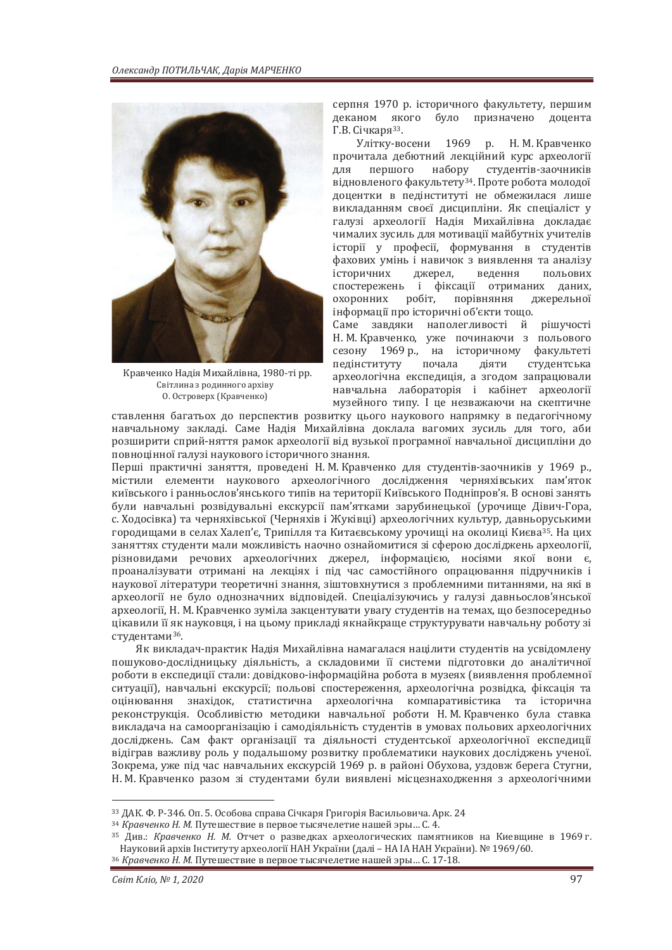

Кравченко Надія Михайлівна, 1980-ті рр. Світлина з родинного архіву 0. Островерх (Кравченко)

серпня 1970 р. історичного факультету, першим деканом якого було призначено доцента Г.В. Січкаря<sup>33</sup>.

Улітку-восени 1969 р. Н. М. Кравченко прочитала дебютний лекційний курс археології для першого набору студентів-заочників відновленого факультету<sup>34</sup>. Проте робота молодої доцентки в педінституті не обмежилася лише викладанням своєї дисципліни. Як спеціаліст у галузі археології Надія Михайлівна докладає чималих зусиль для мотивації майбутніх учителів icтopiï у професії, формування в студентів фахових умінь і навичок з виявлення та аналізу історичних джерел. ведення польових спостережень і фіксації отриманих даних. охоронних робіт, порівняння джерельної інформації про історичні об'єкти тощо.

Саме завдяки наполегливості й рішучості Н. М. Кравченко, уже починаючи з польового сезону 1969 р., на історичному факультеті педінституту почала діяти студентська археологічна експедиція, а згодом запрацювали навчальна лабораторія і кабінет археології музейного типу. I не незважаючи на скептичне

ставлення багатьох до перспектив розвитку цього наукового напрямку в педагогічному навчальному закладі. Саме Надія Михайлівна доклала вагомих зусиль для того, аби розширити сприй-няття рамок археології від вузької програмної навчальної дисципліни до повноцінної галузі наукового історичного знання.

Перші практичні заняття, проведені Н. М. Кравченко для студентів-заочників у 1969 р., містили елементи наукового археологічного лослілження черняхівських пам'яток київського і ранньослов'янського типів на території Київського Подніпров'я. В основі занять були навчальні розвідувальні екскурсії пам'ятками зарубинецької (урочище Дівич-Гора, с. Ходосівка) та черняхівської (Черняхів і Жуківці) археологічних культур, давньоруськими городищами в селах Халеп'є, Трипілля та Китаєвському урочищі на околиці Києва<sup>35</sup>. На цих заняттях студенти мали можливість наочно ознайомитися зі сферою досліджень археології, різновидами речових археологічних джерел, інформацією, носіями якої вони є, проаналізувати отримані на лекціях і під час самостійного опрацювання підручників і наукової літератури теоретичні знання, зіштовхнутися з проблемними питаннями, на які в археології не було однозначних відповідей. Спеціалізуючись у галузі давньослов'янської археології, Н. М. Кравченко зуміла закцентувати увагу студентів на темах, що безпосередньо цікавили її як науковця, і на цьому прикладі якнайкраще структурувати навчальну роботу зі студентами<sup>36</sup>.

Як викладач-практик Надія Михайлівна намагалася націлити студентів на усвідомлену пошуково-лослілницьку ліяльність, а склаловими її системи пілготовки ло аналітичної роботи в експелиції стали: ловілково-інформаційна робота в музеях (виявлення проблемної ситуації), навчальні екскурсії; польові спостереження, археологічна розвідка, фіксація та оцінювання знахідок, статистична археологічна компаративістика та історична реконструкція. Особливістю методики навчальної роботи Н. М. Кравченко була ставка викладача на самоорганізацію і самодіяльність студентів в умовах польових археологічних досліджень. Сам факт організації та діяльності студентської археологічної експедиції відіграв важливу роль у подальшому розвитку проблематики наукових досліджень ученої. Зокрема, уже під час навчальних екскурсій 1969 р. в районі Обухова, уздовж берега Стугни, Н. М. Кравченко разом зі студентами були виявлені місцезнаходження з археологічними

<sup>33</sup> ДАК, Ф. Р-346, Оп. 5, Особова справа Січкаря Григорія Васильовича, Арк. 24

<sup>&</sup>lt;sup>34</sup> Кравченко Н. М. Путешествие в первое тысячелетие нашей эры... С. 4.

<sup>&</sup>lt;sup>35</sup> Див.: Кравченко Н. М. Отчет о разведках археологических памятников на Киевщине в 1969 г. Науковий архів Інституту археології НАН України (далі – НА ІА НАН України). № 1969/60. 36 *Кравченко Н. М.* Путешествие в первое тысячелетие нашей эры... С. 17-18.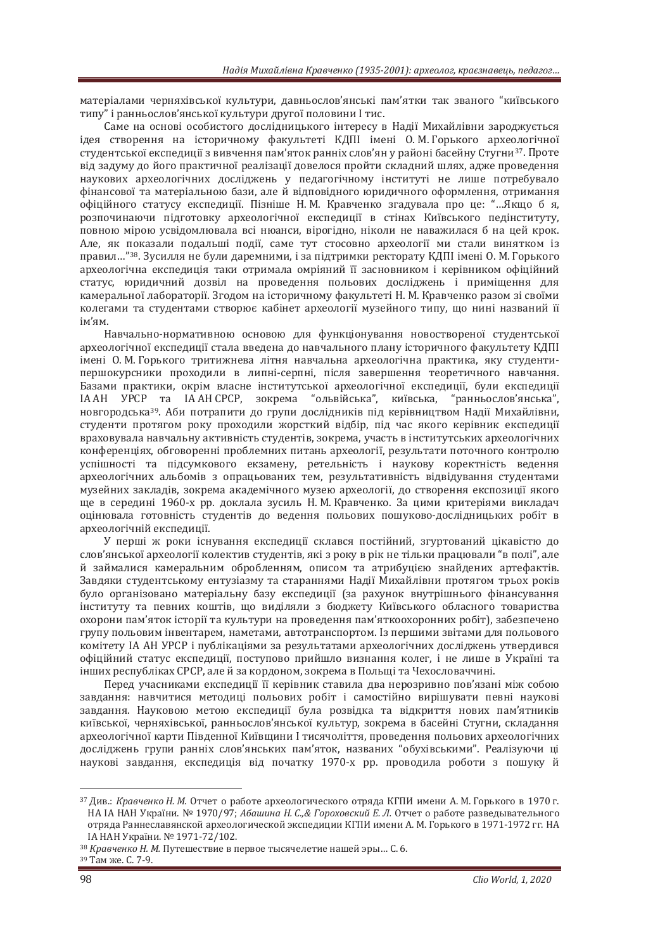матеріалами черняхівської культури, давньослов'янські пам'ятки так званого "київського типу" і ранньослов'янської культури другої половини I тис.

Саме на основі особистого дослідницького інтересу в Надії Михайлівни зароджується ідея створення на історичному факультеті КДПІ імені О.М. Горького археологічної студентської експедиції з вивчення пам'яток ранніх слов'ян у районі басейну Стугни<sup>37</sup>. Проте від задуму до його практичної реалізації довелося пройти складний шлях, адже проведення наукових археологічних досліджень у педагогічному інституті не лише потребувало фінансової та матеріальною бази, але й відповідного юридичного оформлення, отримання офіційного статусу експедиції. Пізніше Н. М. Кравченко згадувала про це: "...Якщо б я, розпочинаючи підготовку археологічної експедиції в стінах Київського педінституту, повною мірою усвідомлювала всі нюанси, вірогідно, ніколи не наважилася б на цей крок. Але, як показали подальші події, саме тут стосовно археології ми стали винятком із правил..."<sup>38</sup>. Зусилля не були даремними, і за підтримки ректорату КДПІ імені О. М. Горького археологічна експелиція таки отримала омріяний її засновником і керівником офіційний статус, юриличний лозвіл на провелення польових лослілжень і примішення лля камеральної лабораторії. Зголом на історичному факультеті Н. М. Кравченко разом зі своїми колегами та студентами створює кабінет археології музейного типу, що нині названий її ім'ям

Навчально-нормативною основою для функціонування новоствореної студентської археологічної експедиції стала введена до навчального плану історичного факультету КДПІ імені О.М. Горького тритижнева літня навчальна археологічна практика, яку студентипершокурсники проходили в липні-серпні, після завершення теоретичного навчання. Базами практики, окрім власне інститутської археологічної експедиції, були експедиції IA АН УРСР та ІА АН СРСР, зокрема "ольвійська", київська, "ранньослов'янська", новгородська<sup>39</sup>. Аби потрапити до групи дослідників під керівництвом Надії Михайлівни, студенти протягом року проходили жорсткий відбір, під час якого керівник експедиції враховувала навчальну активність студентів, зокрема, участь в інститутських археологічних конференціях, обговоренні проблемних питань археології, результати поточного контролю успішності та підсумкового екзамену, ретельність і наукову коректність ведення археологічних альбомів з опрацьованих тем, результативність відвідування студентами музейних закладів, зокрема академічного музею археології, до створення експозиції якого ще в середині 1960-х рр. доклала зусиль Н. М. Кравченко. За цими критеріями викладач оцінювала готовність студентів до ведення польових пошуково-дослідницьких робіт в археологічній експедиції.

У перші ж роки існування експедиції склався постійний, згуртований цікавістю до слов'янської археології колектив студентів, які з року в рік не тільки працювали "в полі", але й займалися камеральним обробленням, описом та атрибушею знайдених артефактів. Завдяки студентському ентузіазму та стараннями Надії Михайлівни протягом трьох років було організовано матеріальну базу експедиції (за рахунок внутрішнього фінансування інституту та певних коштів, що виділяли з бюджету Київського обласного товариства охорони пам'яток історії та культури на проведення пам'яткоохоронних робіт), забезпечено групу польовим інвентарем, наметами, автотранспортом. Із першими звітами для польового комітету ІА АН УРСР і публікаціями за результатами археологічних досліджень утвердився офіційний статус експедиції, поступово прийшло визнання колег, і не лише в Україні та інших республіках СРСР, але й за кордоном, зокрема в Польщі та Чехословаччині.

Перед учасниками експедиції її керівник ставила два нерозривно пов'язані між собою завдання: навчитися методиці польових робіт і самостійно вирішувати певні наукові завдання. Науковою метою експедиції була розвідка та відкриття нових пам'ятників київської, черняхівської, ранньослов'янської культур, зокрема в басейні Стугни, складання археологічної карти Південної Київщини I тисячоліття, проведення польових археологічних досліджень групи ранніх слов'янських пам'яток, названих "обухівськими". Реалізуючи ці наукові завлання. експелиція віл початку 1970-х рр. проволила роботи з пошуку й

<sup>&</sup>lt;sup>37</sup> Див.: Кравченко Н. М. Отчет о работе археологического отряда КГПИ имени А. М. Горького в 1970 г. НА ІА НАН України. № 1970/97; Абашина Н. С.,& Гороховский Е. Л. Отчет о работе разведывательного отряда Раннеславянской археологической экспедиции КГПИ имени А. М. Горького в 1971-1972 гг. НА<br>ІА НАН України. № 1971-72/102.

зв Кравченко Н. М. Путешествие в первое тысячелетие нашей эры... С. 6. <sup>39</sup> Там же. С. 7-9.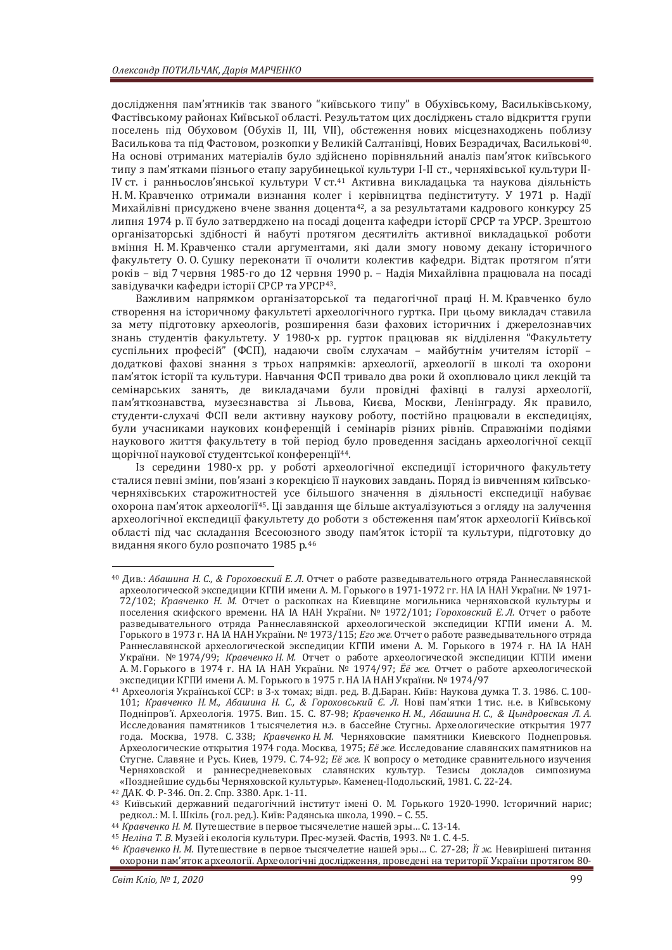дослідження пам'ятників так званого "київського типу" в Обухівському, Васильківському, Фастівському районах Київської області. Результатом цих досліджень стало відкриття групи поселень під Обуховом (Обухів II, III, VII), обстеження нових місцезнаходжень поблизу Василькова та під Фастовом, розкопки у Великій Салтанівці, Нових Безрадичах, Василькові<sup>40</sup>. На основі отриманих матеріалів було здійснено порівняльний аналіз пам'яток київського типу з пам'ятками пізнього етапу зарубинецької культури I-II ст., черняхівської культури II-IV ст. і ранньослов'янської культури V ст.<sup>41</sup> Активна викладацька та наукова діяльність Н. М. Кравченко отримали визнання колег і керівництва педінституту. У 1971 р. Надії Михайлівні присуджено вчене звання доцента<sup>42</sup>, а за результатами кадрового конкурсу 25 липня 1974 р. її було затверджено на посаді доцента кафедри історії СРСР та УРСР. Зрештою організаторські здібності й набуті протягом десятиліть активної викладацької роботи вміння Н. М. Кравченко стали аргументами, які дали змогу новому декану історичного факультету О. О. Сушку переконати її очолити колектив кафедри. Відтак протягом п'яти років – від 7 червня 1985-го до 12 червня 1990 р. – Надія Михайлівна працювала на посаді завідувачки кафедри історії СРСР та УРСР<sup>43</sup>.

Важливим напрямком організаторської та педагогічної праці Н. М. Кравченко було створення на історичному факультеті археологічного гуртка. При цьому викладач ставила за мету підготовку археологів, розширення бази фахових історичних і джерелознавчих знань студентів факультету. У 1980-х рр. гурток працював як відділення "Факультету суспільних професій" (ФСП), надаючи своїм слухачам - майбутнім учителям історії додаткові фахові знання з трьох напрямків: археології, археології в школі та охорони пам'яток історії та культури. Навчання ФСП тривало два роки й охоплювало цикл лекцій та семінарських занять, де викладачами були провідні фахівці в галузі археології, пам'яткознавства, музеєзнавства зі Львова, Києва, Москви, Ленінграду. Як правило, студенти-слухачі ФСП вели активну наукову роботу, постійно працювали в експедиціях, були учасниками наукових конференцій і семінарів різних рівнів. Справжніми подіями наукового життя факультету в той період було проведення засідань археологічної секції щорічної наукової студентської конференції<sup>44</sup>.

Із середини 1980-х рр. у роботі археологічної експедиції історичного факультету сталися певні зміни, пов'язані з корекцією її наукових завдань. Поряд із вивченням київськочерняхівських старожитностей усе більшого значення в діяльності експедиції набуває охорона пам'яток археології<sup>45</sup>. Ці завдання ще більше актуалізуються з огляду на залучення археологічної експелиції факультету до роботи з обстеження пам'яток археології Київської області під час складання Всесоюзного зводу пам'яток історії та культури, підготовку до видання якого було розпочато 1985 р.<sup>46</sup>

<sup>45</sup> Неліна Т. В. Музей і екологія культури. Прес-музей. Фастів, 1993. № 1. С. 4-5.<br><sup>46</sup> Кравченко Н. М. Путешествие в первое тысячелетие нашей эры... С. 27-28; *Її ж.* Невирішені питання охорони пам'яток археології. Археологічні дослідження, проведені на території України протягом 80-

<sup>&</sup>lt;sup>40</sup> Див.: Абашина Н. С., & Гороховский Е. Л. Отчет о работе разведывательного отряда Раннеславянской археологической экспедиции КГПИ имени А. М. Горького в 1971-1972 гг. НА ІА НАН України. № 1971-72/102; Кравченко Н. М. Отчет о раскопках на Киевщине могильника черняховской культуры и поселения скифского времени. НА IA НАН України. № 1972/101; Гороховский Е.Л. Отчет о работе разведывательного отряда Раннеславянской археологической экспедиции КГПИ имени А. М. Горького в 1973 г. НА IA НАН України. № 1973/115; Его же. Отчет о работе разведывательного отряда Раннеславянской археологической экспедиции КГПИ имени А. М. Горького в 1974 г. НА ІА НАН України. № 1974/99; Кравченко Н. М. Отчет о работе археологической экспедиции КГПИ имени х правити стать дель дель суда.<br>А. М. Горького в 1974 г. НА ІА НАН України. № 1974/97; *Ёё же*. Отчет о работе археологической

зкспедиции КГПИ имени А. М. Горького в 1975 г. НА ІА НАН України. № 1974/97<br><sup>41</sup> Археологія Української ССР: в 3-х томах; відп. ред. В. Д.Баран. Київ: Наукова думка Т. 3. 1986. С. 100-101; Кравченко Н. М., Абашина Н. С., & Гороховський Є. Л. Нові пам'ятки 1 тис. н.е. в Київському Подніпров'ї. Археологія. 1975. Вип. 15. С. 87-98; Кравченко Н. М., Абашина Н. С., & Цындровская Л. А. Исследования памятников 1 тысячелетия н.э. в бассейне Стугны. Археологические открытия 1977 года. Москва, 1978. С.338; *Кравченко Н. М.* Черняховские памятники Киевского Поднепровья. Археологические открытия 1974 года. Москва, 1975; *Её же.* Исследование славянских памятников на Стугне. Славяне и Русь. Киев, 1979. С. 74-92; *Её же.* К вопросу о методике сравнительного изучения Черняховской и раннесредневековых славянских культур. Тезисы докладов симпозиума «Позднейшие судьбы Черняховской культуры». Каменец-Подольский, 1981. С. 22-24.<br><sup>42</sup> ДАК. Ф. Р-346. Оп. 2. Спр. 3380. Арк. 1-11.<br><sup>43</sup> Київський державний педагогічний інститут імені О. М. Горького 1920-1990. Історичний на

редкол.: М. І. Шкіль (гол. ред.). Київ: Радянська школа, 1990. – С. 55.<br><sup>44</sup> Кравченко Н. М. Путешествие в первое тысячелетие нашей эры... С. 13-14.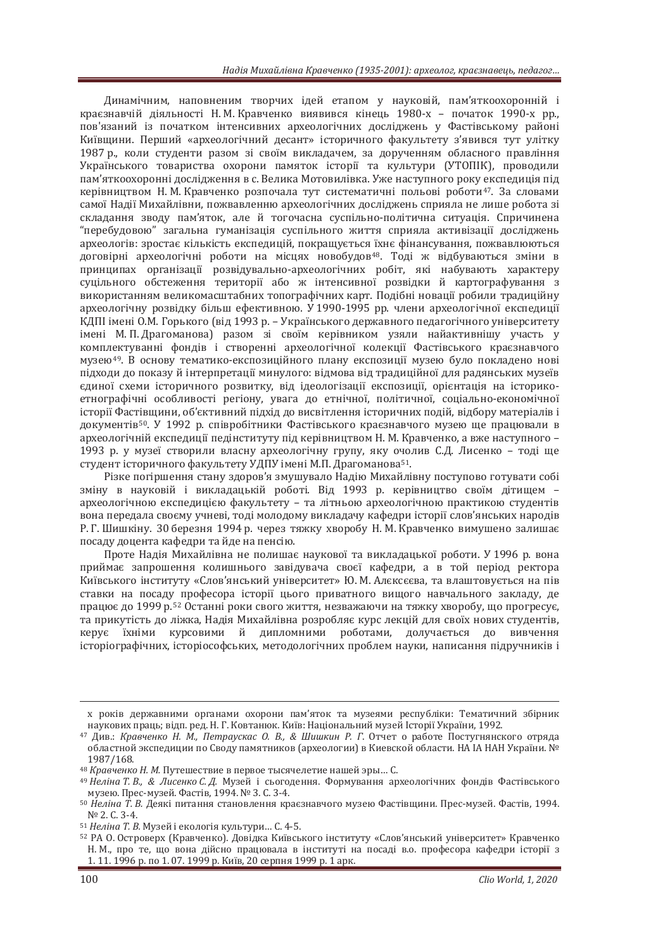Динамічним, наповненим творчих ідей етапом у науковій, пам'яткоохоронній і краєзнавчій діяльності Н. М. Кравченко виявився кінець 1980-х – початок 1990-х рр., пов'язаний із початком інтенсивних археологічних досліджень у Фастівському районі Київщини. Перший «археологічний десант» історичного факультету з'явився тут улітку 1987 р., коли студенти разом зі своїм викладачем, за дорученням обласного правління Українського товариства охорони памяток історії та культури (УТОПІК), проводили пам'яткоохоронні дослідження в с. Велика Мотовилівка. Уже наступного року експедиція під керівництвом Н. М. Кравченко розпочала тут систематичні польові роботи<sup>47</sup>. За словами самої Надії Михайлівни, пожвавленню археологічних досліджень сприяла не лише робота зі складання зводу пам'яток, але й тогочасна суспільно-політична ситуація. Спричинена "перебудовою" загальна гуманізація суспільного життя сприяла активізації досліджень археологів: зростає кількість експедицій, покращується їхнє фінансування, пожвавлюються договірні археологічні роботи на місцях новобудов<sup>48</sup>. Тоді ж відбуваються зміни в принципах організації розвідувально-археологічних робіт, які набувають характеру суцільного обстеження території або ж інтенсивної розвідки й картографування з використанням великомасштабних топографічних карт. Полібні новації робили тралиційну археологічну розвідку більш ефективною. У 1990-1995 рр. члени археологічної експедиції КДПІ імені О.М. Горького (від 1993 р. – Українського державного педагогічного університету імені М. П. Драгоманова) разом зі своїм керівником узяли найактивнішу участь у комплектуванні фондів і створенні археологічної колекції Фастівського краєзнавчого музею<sup>49</sup>. В основу тематико-експозиційного плану експозиції музею було покладено нові підходи до показу й інтерпретації минулого: відмова від традиційної для радянських музеїв єдиної схеми історичного розвитку, від ідеологізації експозиції, орієнтація на історикоетнографічні особливості регіону, увага до етнічної, політичної, соціально-економічної історії Фастівщини, об'єктивний підхід до висвітлення історичних подій, відбору матеріалів і документів<sup>50</sup>. У 1992 р. співробітники Фастівського краєзнавчого музею ще працювали в археологічній експедиції педінституту під керівництвом Н. М. Кравченко, а вже наступного -1993 р. у музеї створили власну археологічну групу, яку очолив С.Д. Лисенко – тоді ще студент історичного факультету УДПУ імені М.П. Драгоманова<sup>51</sup>.

Різке погіршення стану здоров'я змушувало Надію Михайлівну поступово готувати собі зміну в науковій і викладацькій роботі. Від 1993 р. керівництво своїм дітищем археологічною експедицією факультету – та літньою археологічною практикою студентів вона передала своєму учневі, тоді молодому викладачу кафедри історії слов'янських народів Р. Г. Шишкіну. 30 березня 1994 р. через тяжку хворобу Н. М. Кравченко вимушено залишає посаду доцента кафедри та йде на пенсію.

Проте Надія Михайлівна не полишає наукової та викладацької роботи. У 1996 р. вона приймає запрошення колишнього завілувача своєї кафелри, а в той періол ректора Київського інституту «Слов'янський університет» Ю. М. Алєксєєва, та влаштовується на пів ставки на посаду професора історії цього приватного вищого навчального закладу, де працює до 1999 р.<sup>52</sup> Останні роки свого життя, незважаючи на тяжку хворобу, що прогресує, та прикутість до ліжка, Надія Михайлівна розробляє курс лекцій для своїх нових студентів, керує їхніми курсовими й дипломними роботами, долучається до вивчення icторiографічних, iсторiософських, методологічних проблем науки, написання підручників і

х років державними органами охорони пам'яток та музеями республіки: Тематичний збірник наукових праць: вілп. рел. Н. Г. Ковтанюк. Київ: Національний музей Історії України. 1992.

<sup>&</sup>lt;sup>47</sup> Див.: Кравченко Н. М., Петраускас О. В., & Шишкин Р. Г. Отчет о работе Постугнянского отряда областной экспедиции по Своду памятников (археологии) в Киевской области. НА ІА НАН України. № 1987/168.

<sup>&</sup>lt;sup>48</sup> Кравченко Н. М. Путешествие в первое тысячелетие нашей эры... С.

<sup>&</sup>lt;sup>49</sup> Неліна Т. В., & Лисенко С. Д. Музей і сьогодення. Формування археологічних фондів Фастівського музею. Прес-музей Фастів, 1994. № 3. С. 3-4.

<sup>&</sup>lt;sup>50</sup> Неліна Т. В. Деякі питання становлення краєзнавчого музею Фастівщини. Прес-музей. Фастів, 1994. Nº 2. С. 3-4.<br><sup>51</sup> *Неліна Т. В.* Музей і екологія культури… С. 4-5.<br><sup>52</sup> РА О. Островерх (Кравченко). Довідка Київського інституту «Слов'янський університет» Кравченко

Н. М., про те, що вона дійсно працювала в інституті на посаді в.о. професора кафедри історії з 1. 11. 1996 р. по 1. 07. 1999 р. Київ, 20 серпня 1999 р. 1 арк.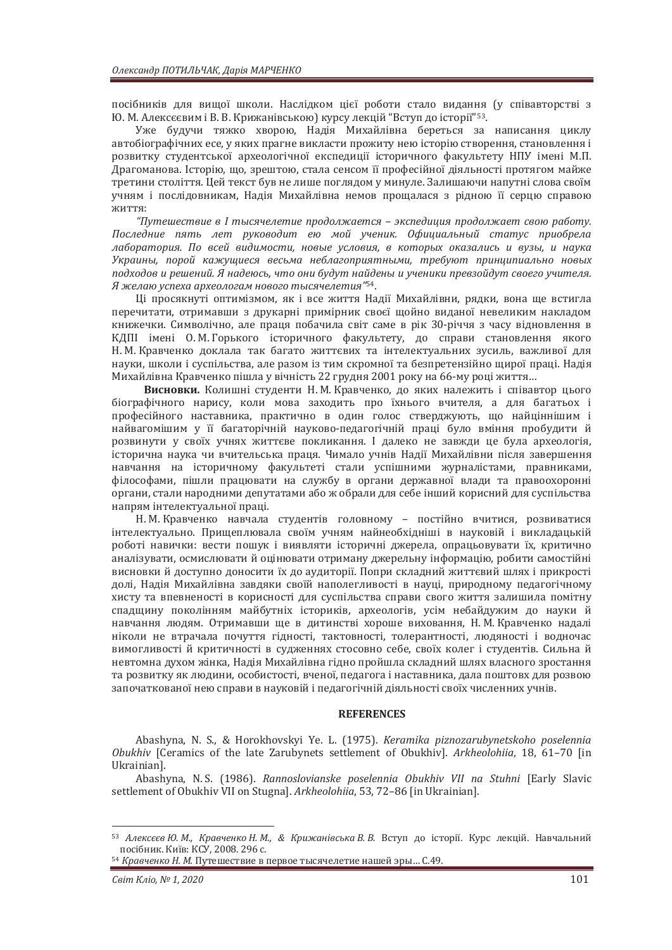посібників для вищої школи. Наслідком цієї роботи стало видання (у співавторстві з Ю. М. Алексєєвим і В. В. Крижанівською) курсу лекцій "Вступ до історії"<sup>53</sup>.

Уже будучи тяжко хворою, Надія Михайлівна береться за написання циклу автобіографічних есе, у яких прагне викласти прожиту нею історію створення, становлення і розвитку студентської археологічної експедиції історичного факультету НПУ імені М.П. Драгоманова. Історію, що, зрештою, стала сенсом її професійної діяльності протягом майже третини століття. Цей текст був не лише поглядом у минуле. Залишаючи напутні слова своїм учням і послідовникам, Надія Михайлівна немов прощалася з рідною її серцю справою ЖИТТЯ:

<sup>"</sup> Путешествие в I тысячелетие продолжается – экспедиция продолжает свою работу. Последние пять лет руководит ею мой ученик. Официальный статус приобрела лаборатория. По всей видимости, новые условия, в которых оказались и вузы, и наука Украины, порой кажущиеся весьма неблагоприятными, требуют принципиально новых подходов и решений. Я надеюсь, что они будут найдены и ученики превзойдут своего учителя.  $\hat{H}$  желаю успеха археологам нового тысячелетия"<sup>54</sup>.

Ці просякнуті оптимізмом, як і все життя Надії Михайлівни, рядки, вона ще встигла перечитати, отримавши з друкарні примірник своєї щойно виданої невеликим накладом книжечки. Символічно, але праця побачила світ саме в рік 30-річчя з часу відновлення в КДПІ імені О.М. Горького історичного факультету, до справи становлення якого Н. М. Кравченко доклала так багато життєвих та інтелектуальних зусиль, важливої для науки, школи і суспільства, але разом із тим скромної та безпретензійно щирої праці. Надія Михайлівна Кравченко пішла у вічність 22 грудня 2001 року на 66-му році життя...

**Висновки.** Колишні студенти Н. М. Кравченко, до яких належить і співавтор цього біографічного нарису, коли мова захолить про їхнього вчителя, а для багатьох і професійного наставника, практично в один голос стверджують, що найціннішим і найвагомішим у її багаторічній науково-педагогічній праці було вміння пробудити й розвинути у своїх учнях життєве покликання. І далеко не завжди це була археологія, історична наука чи вчительська праця. Чимало учнів Надії Михайлівни після завершення навчання на історичному факультеті стали успішними журналістами, правниками, філософами, пішли працювати на службу в органи державної влади та правоохоронні органи, стали народними депутатами або ж обрали для себе інший корисний для суспільства напрям інтелектуальної праці.

Н. М. Кравченко навчала студентів головному – постійно вчитися, розвиватися інтелектуально. Прищеплювала своїм учням найнеобхідніші в науковій і викладацькій роботі навички: вести пошук і виявляти історичні джерела, опрацьовувати їх, критично аналізувати, осмислювати й оцінювати отриману джерельну інформацію, робити самостійні висновки й доступно доносити їх до аудиторії. Попри складний життєвий шлях і прикрості долі, Надія Михайлівна завдяки своїй наполегливості в науці, природному педагогічному хисту та впевненості в корисності для суспільства справи свого життя залишила помітну спадщину поколінням майбутніх істориків, археологів, усім небайдужим до науки й навчання людям. Отримавши ще в дитинстві хороше виховання, Н. М. Кравченко надалі ніколи не втрачала почуття гідності, тактовності, толерантності, людяності і водночас вимогливості й критичності в судженнях стосовно себе, своїх колег і студентів. Сильна й невтомна лухом жінка. Налія Михайлівна гілно пройшла склалний шлях власного зростання та розвитку як людини, особистості, вченої, пелагога і наставника, дала поштовх для розвою започаткованої нею справи в науковій і педагогічній діяльності своїх численних учнів.

## **REFERENCES**

Abashyna, N. S., & Horokhovskyi Ye. L. (1975).  Obukhiv [Ceramics of the late Zarubynets settlement of Obukhiv]. Arkheolohiia,  $18$ ,  $61-70$  [in Ukrainian].

Abashyna, N.S. (1986). Rannoslovianske poselennia Obukhiv VII na Stuhni [Early Slavic settlement of Obukhiv VII on Stugnal. Arkheolohiia, 53, 72–86 [in Ukrainian].

<sup>53</sup> Алексеєв Ю. М., Кравченко Н. М., & Крижанівська В. В. Вступ до історії. Курс лекцій. Навчальний посібник. Київ: КСУ, 2008, 296 с.

<sup>54</sup> *Кравченко Н. М.* Путешествие в первое тысячелетие нашей эры... С.49.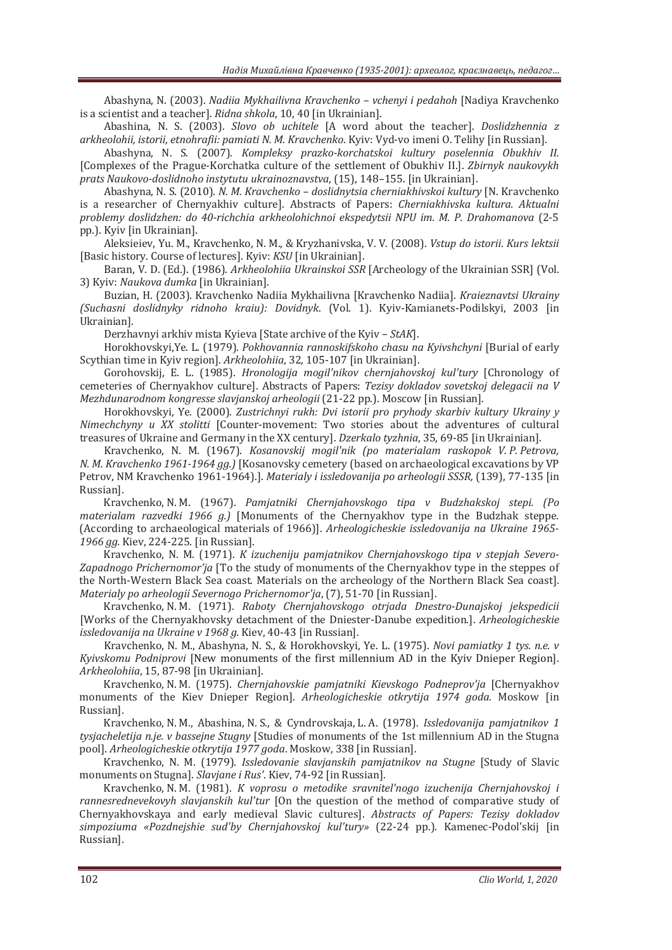Abashyna, N. (2003). *Nadiia Mykhailivna Kravchenko – vchenyi i pedahoh* [Nadiya Kravchenko is a scientist and a teacher]. *Ridna shkola*, 10, 40 [in Ukrainian].

Abashina, N. S. (2003). *Slovo ob uchitele* [A word about the teacher]. *Doslidzhennia z* arkheolohii, istorii, etnohrafii: pamiati N. M. Kravchenko. Kyiv: Vyd-vo imeni O. Telihy [in Russian].

Abashyna, N. S. (2007). *Kompleksy prazko-korchatskoi kultury poselennia Obukhiv II.* [Complexes of the Prague-Korchatka culture of the settlement of Obukhiv II.]. *Zbirnyk naukovykh* prats Naukovo-doslidnoho instytutu ukrainoznavstva, (15), 148-155. [in Ukrainian].

Abashyna, N. S. (2010). *N. M. Kravchenko - doslidnytsia cherniakhivskoi kultury* [N. Kravchenko is a researcher of Chernyakhiv culture]. Abstracts of Papers: *Cherniakhivska kultura. Aktualni problemy doslidzhen: do 40-richchia arkheolohichnoi ekspedytsii NPU im. M. P. Drahomanova* (2-5 ˓˓.). Kyiv [in Ukrainian].

Aleksieiev, Yu. M., Kravchenko, N. M., & Kryzhanivska, V. V. (2008). Vstup do istorii. Kurs lektsii [Basic history. Course of lectures]. Kyiy: *KSU* [in Ukrainian].

Baran, V. D. (Ed.). (1986). Arkheolohiia Ukrainskoi SSR [Archeology of the Ukrainian SSR] (Vol. 3) Kyiy: Naukova dumka [in Ukrainian].

Buzian, H. (2003). Kravchenko Nadiia Mykhailivna [Kravchenko Nadiia]. Kraieznavtsi Ukrainy *(Suchasni doslidnyky ridnoho kraiu): Dovidnyk. (Vol. 1). Kyiv-Kamianets-Podilskyi, 2003 [in* Ukrainian].

Derzhavnyi arkhiv mista Kyieva [State archive of the Kyiv –  $StAK$ ].

Horokhovskyi, Ye. L. (1979). Pokhovannia rannoskifskoho chasu na Kyivshchyni [Burial of early Scythian time in Kyiv region]. Arkheolohiia, 32, 105-107 [in Ukrainian].

Gorohovskij, E. L. (1985). *Hronologija mogil'nikov chernjahovskoj kul'tury* [Chronology of cemeteries of Chernyakhov culture]. Abstracts of Papers: *Tezisy dokladov sovetskoj delegacii na V* Mezhdunarodnom kongresse slavjanskoj arheologii (21-22 pp.). Moscow [in Russian].

Horokhovskyi, Ye. (2000). Zustrichnyi rukh: Dvi istorii pro pryhody skarbiv kultury Ukrainy y *Nimechchyny u XX stolitti* [Counter-movement: Two stories about the adventures of cultural treasures of Ukraine and Germany in the XX century]. *Dzerkalo tyzhnia*, 35, 69-85 [in Ukrainian].

Kravchenko, N. M. (1967). *Kosanovskij mogil'nik (po materialam raskopok V. P. Petrova*, *N. M. Kravchenko 1961-1964 gg.*) [Kosanovsky cemetery (based on archaeological excavations by VP Petrov, NM Kravchenko 1961-1964).]. *Materialy i issledovanija po arheologii SSSR*, (139), 77-135 [in Russian].

Kravchenko, N. M. (1967). *Pamjatniki Chernjahovskogo tipa v Budzhakskoj stepi. (Po materialam razvedki 1966 a.*) [Monuments of the Chernyakhov type in the Budzhak steppe. (According to archaeological materials of 1966)]. *Arheologicheskie issledovanija na Ukraine 1965-1966 gg.* Kiev, 224-225. [in Russian].

Kravchenko, N. M. (1971). *K* izucheniju pamjatnikov Chernjahovskogo tipa v stepjah Severo-Zapadnogo Prichernomor'ja [To the study of monuments of the Chernyakhov type in the steppes of the North-Western Black Sea coast. Materials on the archeology of the Northern Black Sea coast]. *Materialy po arheologii Severnogo Prichernomor'ja, (7), 51-70 [in Russian].* 

Kravchenko, N. M. (1971). Raboty Chernjahovskogo otrjada Dnestro-Dunajskoj jekspedicii [Works of the Chernyakhovsky detachment of the Dniester-Danube expedition.]. *Ar issledovanija na Ukraine v 1968 g.* Kiev, 40-43 [in Russian].

Kravchenko, N. M., Abashyna, N. S., & Horokhovskyi, Ye. L. (1975). *Novi pamiatky 1 tys. n.e. v Kyivskomu Podniprovi* [New monuments of the first millennium AD in the Kyiv Dnieper Region]. Arkheolohiia, 15, 87-98 [in Ukrainian].

Kravchenko, N. M. (1975). *Chernjahovskie pamjatniki Kievskogo Podneprov'ja* [Chernyakhov monuments of the Kiev Dnieper Region]. *Arheologicheskie otkrytija 1974 goda*. Moskow [in Russian].

Kravchenko, N. M., Abashina, N. S., & Cyndrovskaja, L. A. (1978). *Issledovanija pamjatnikov 1 tysjacheletija n.je. v bassejne Stugny* [Studies of monuments of the 1st millennium AD in the Stugna pool]. *Arheologicheskie otkrytija 1977 goda*. Moskow, 338 [in Russian].

Kravchenko, N. M. (1979). *Issledovanie slavianskih pamiatnikov na Stuane* [Study of Slavic monuments on Stugna]. *Slavjane i Rus'*. Kiev, 74-92 [in Russian].

Kravchenko, N. M. (1981). *K* voprosu o metodike sravniteľnogo izuchenija Chernjahovskoj i *rannesrednevekovyh slavianskih kul'tur* [On the question of the method of comparative study of Chernyakhovskaya and early medieval Slavic cultures]. *Abstracts of Papers: Tezisy dokladov* simpoziuma «Pozdnejshie sud'by Chernjahovskoj kul'tury» (22-24 pp.). Kamenec-Podol'skij [in Russian].